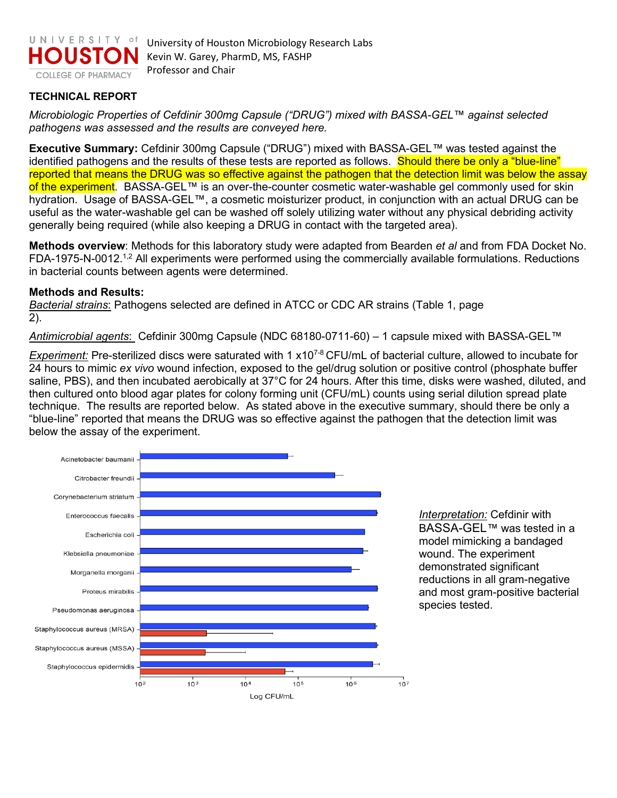

## **TECHNICAL REPORT**

*Microbiologic Properties of Cefdinir 300mg Capsule ("DRUG") mixed with BASSA-GEL™ against selected pathogens was assessed and the results are conveyed here.* 

**Executive Summary:** Cefdinir 300mg Capsule ("DRUG") mixed with BASSA-GEL*™* was tested against the identified pathogens and the results of these tests are reported as follows. Should there be only a "blue-line" reported that means the DRUG was so effective against the pathogen that the detection limit was below the assay of the experiment. BASSA-GEL™ is an over-the-counter cosmetic water-washable gel commonly used for skin hydration. Usage of BASSA-GEL™, a cosmetic moisturizer product, in conjunction with an actual DRUG can be useful as the water-washable gel can be washed off solely utilizing water without any physical debriding activity generally being required (while also keeping a DRUG in contact with the targeted area).

**Methods overview**: Methods for this laboratory study were adapted from Bearden *et al* and from FDA Docket No. FDA-1975-N-0012.<sup>1,2</sup> All experiments were performed using the commercially available formulations. Reductions in bacterial counts between agents were determined.

## **Methods and Results:**

*Bacterial strains*: Pathogens selected are defined in ATCC or CDC AR strains (Table 1, page 2).

*Antimicrobial agents*: Cefdinir 300mg Capsule (NDC 68180-0711-60) – 1 capsule mixed with BASSA-GEL*™*

*Experiment:* Pre-sterilized discs were saturated with 1 x107-8 CFU/mL of bacterial culture, allowed to incubate for 24 hours to mimic *ex vivo* wound infection, exposed to the gel/drug solution or positive control (phosphate buffer saline, PBS), and then incubated aerobically at 37°C for 24 hours. After this time, disks were washed, diluted, and then cultured onto blood agar plates for colony forming unit (CFU/mL) counts using serial dilution spread plate technique. The results are reported below. As stated above in the executive summary, should there be only a "blue-line" reported that means the DRUG was so effective against the pathogen that the detection limit was below the assay of the experiment.